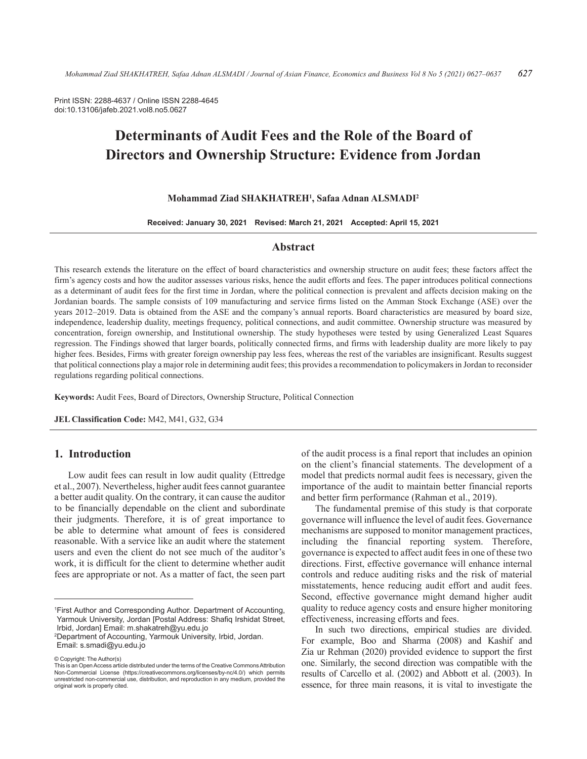Print ISSN: 2288-4637 / Online ISSN 2288-4645 doi:10.13106/jafeb.2021.vol8.no5.0627

# **Determinants of Audit Fees and the Role of the Board of Directors and Ownership Structure: Evidence from Jordan**

#### **Mohammad Ziad SHAKHATREH1 , Safaa Adnan ALSMADI2**

**Received: January 30, 2021 Revised: March 21, 2021 Accepted: April 15, 2021**

# **Abstract**

This research extends the literature on the effect of board characteristics and ownership structure on audit fees; these factors affect the firm's agency costs and how the auditor assesses various risks, hence the audit efforts and fees. The paper introduces political connections as a determinant of audit fees for the first time in Jordan, where the political connection is prevalent and affects decision making on the Jordanian boards. The sample consists of 109 manufacturing and service firms listed on the Amman Stock Exchange (ASE) over the years 2012–2019. Data is obtained from the ASE and the company's annual reports. Board characteristics are measured by board size, independence, leadership duality, meetings frequency, political connections, and audit committee. Ownership structure was measured by concentration, foreign ownership, and Institutional ownership. The study hypotheses were tested by using Generalized Least Squares regression. The Findings showed that larger boards, politically connected firms, and firms with leadership duality are more likely to pay higher fees. Besides, Firms with greater foreign ownership pay less fees, whereas the rest of the variables are insignificant. Results suggest that political connections play a major role in determining audit fees; this provides a recommendation to policymakers in Jordan to reconsider regulations regarding political connections.

**Keywords:** Audit Fees, Board of Directors, Ownership Structure, Political Connection

**JEL Classification Code:** M42, M41, G32, G34

# **1. Introduction**

Low audit fees can result in low audit quality (Ettredge et al., 2007). Nevertheless, higher audit fees cannot guarantee a better audit quality. On the contrary, it can cause the auditor to be financially dependable on the client and subordinate their judgments. Therefore, it is of great importance to be able to determine what amount of fees is considered reasonable. With a service like an audit where the statement users and even the client do not see much of the auditor's work, it is difficult for the client to determine whether audit fees are appropriate or not. As a matter of fact, the seen part

© Copyright: The Author(s)

of the audit process is a final report that includes an opinion on the client's financial statements. The development of a model that predicts normal audit fees is necessary, given the importance of the audit to maintain better financial reports and better firm performance (Rahman et al., 2019).

The fundamental premise of this study is that corporate governance will influence the level of audit fees. Governance mechanisms are supposed to monitor management practices, including the financial reporting system. Therefore, governance is expected to affect audit fees in one of these two directions. First, effective governance will enhance internal controls and reduce auditing risks and the risk of material misstatements, hence reducing audit effort and audit fees. Second, effective governance might demand higher audit quality to reduce agency costs and ensure higher monitoring effectiveness, increasing efforts and fees.

In such two directions, empirical studies are divided. For example, Boo and Sharma (2008) and Kashif and Zia ur Rehman (2020) provided evidence to support the first one. Similarly, the second direction was compatible with the results of Carcello et al. (2002) and Abbott et al. (2003). In essence, for three main reasons, it is vital to investigate the

<sup>1</sup> First Author and Corresponding Author. Department of Accounting, Yarmouk University, Jordan [Postal Address: Shafiq Irshidat Street, Irbid, Jordan] Email: m.shakatreh@yu.edu.jo

<sup>2</sup> Department of Accounting, Yarmouk University, Irbid, Jordan. Email: s.smadi@yu.edu.jo

This is an Open Access article distributed under the terms of the Creative Commons Attribution Non-Commercial License (https://creativecommons.org/licenses/by-nc/4.0/) which permits unrestricted non-commercial use, distribution, and reproduction in any medium, provided the original work is properly cited.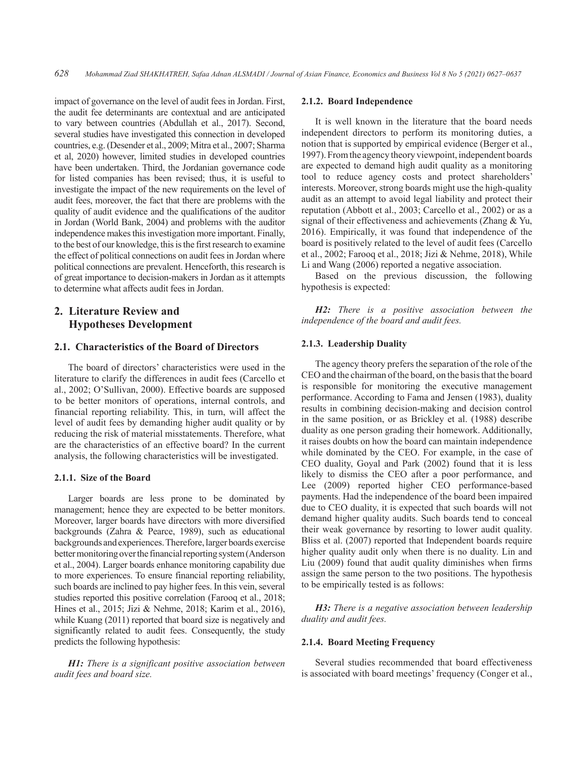impact of governance on the level of audit fees in Jordan. First, the audit fee determinants are contextual and are anticipated to vary between countries (Abdullah et al., 2017). Second, several studies have investigated this connection in developed countries, e.g. (Desender et al., 2009; Mitra et al., 2007; Sharma et al, 2020) however, limited studies in developed countries have been undertaken. Third, the Jordanian governance code for listed companies has been revised; thus, it is useful to investigate the impact of the new requirements on the level of audit fees, moreover, the fact that there are problems with the quality of audit evidence and the qualifications of the auditor in Jordan (World Bank, 2004) and problems with the auditor independence makes this investigation more important. Finally, to the best of our knowledge, this is the first research to examine the effect of political connections on audit fees in Jordan where political connections are prevalent. Henceforth, this research is of great importance to decision-makers in Jordan as it attempts to determine what affects audit fees in Jordan.

# **2. Literature Review and Hypotheses Development**

# **2.1. Characteristics of the Board of Directors**

The board of directors' characteristics were used in the literature to clarify the differences in audit fees (Carcello et al., 2002; O'Sullivan, 2000). Effective boards are supposed to be better monitors of operations, internal controls, and financial reporting reliability. This, in turn, will affect the level of audit fees by demanding higher audit quality or by reducing the risk of material misstatements. Therefore, what are the characteristics of an effective board? In the current analysis, the following characteristics will be investigated.

#### **2.1.1. Size of the Board**

Larger boards are less prone to be dominated by management; hence they are expected to be better monitors. Moreover, larger boards have directors with more diversified backgrounds (Zahra & Pearce, 1989), such as educational backgrounds and experiences. Therefore, larger boards exercise better monitoring over the financial reporting system (Anderson et al., 2004). Larger boards enhance monitoring capability due to more experiences. To ensure financial reporting reliability, such boards are inclined to pay higher fees. In this vein, several studies reported this positive correlation (Farooq et al., 2018; Hines et al., 2015; Jizi & Nehme, 2018; Karim et al., 2016), while Kuang (2011) reported that board size is negatively and significantly related to audit fees. Consequently, the study predicts the following hypothesis:

*H1: There is a significant positive association between audit fees and board size.* 

#### **2.1.2. Board Independence**

It is well known in the literature that the board needs independent directors to perform its monitoring duties, a notion that is supported by empirical evidence (Berger et al., 1997). From the agency theory viewpoint, independent boards are expected to demand high audit quality as a monitoring tool to reduce agency costs and protect shareholders' interests. Moreover, strong boards might use the high-quality audit as an attempt to avoid legal liability and protect their reputation (Abbott et al., 2003; Carcello et al., 2002) or as a signal of their effectiveness and achievements (Zhang & Yu, 2016). Empirically, it was found that independence of the board is positively related to the level of audit fees (Carcello et al., 2002; Farooq et al., 2018; Jizi & Nehme, 2018), While Li and Wang (2006) reported a negative association.

Based on the previous discussion, the following hypothesis is expected:

*H2: There is a positive association between the independence of the board and audit fees.* 

## **2.1.3. Leadership Duality**

The agency theory prefers the separation of the role of the CEO and the chairman of the board, on the basis that the board is responsible for monitoring the executive management performance. According to Fama and Jensen (1983), duality results in combining decision-making and decision control in the same position, or as Brickley et al. (1988) describe duality as one person grading their homework. Additionally, it raises doubts on how the board can maintain independence while dominated by the CEO. For example, in the case of CEO duality, Goyal and Park (2002) found that it is less likely to dismiss the CEO after a poor performance, and Lee (2009) reported higher CEO performance-based payments. Had the independence of the board been impaired due to CEO duality, it is expected that such boards will not demand higher quality audits. Such boards tend to conceal their weak governance by resorting to lower audit quality. Bliss et al. (2007) reported that Independent boards require higher quality audit only when there is no duality. Lin and Liu (2009) found that audit quality diminishes when firms assign the same person to the two positions. The hypothesis to be empirically tested is as follows:

*H3: There is a negative association between leadership duality and audit fees.* 

#### **2.1.4. Board Meeting Frequency**

Several studies recommended that board effectiveness is associated with board meetings' frequency (Conger et al.,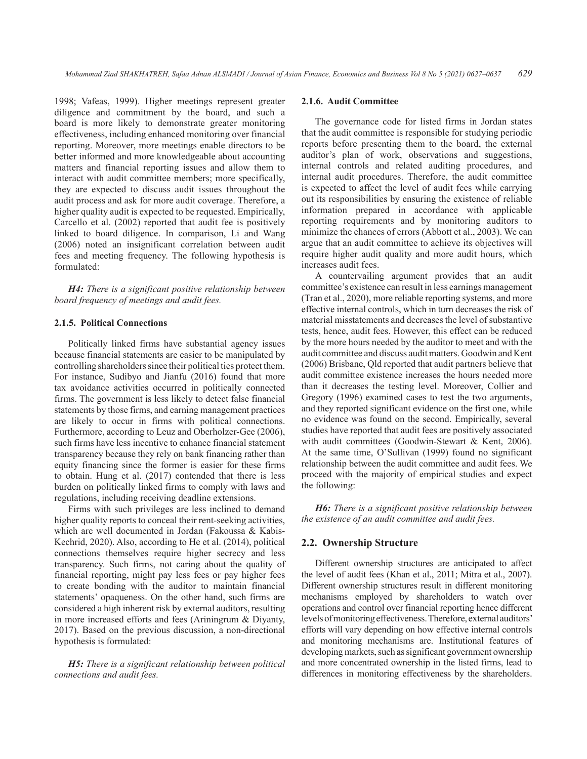1998; Vafeas, 1999). Higher meetings represent greater diligence and commitment by the board, and such a board is more likely to demonstrate greater monitoring effectiveness, including enhanced monitoring over financial reporting. Moreover, more meetings enable directors to be better informed and more knowledgeable about accounting matters and financial reporting issues and allow them to interact with audit committee members; more specifically, they are expected to discuss audit issues throughout the audit process and ask for more audit coverage. Therefore, a higher quality audit is expected to be requested. Empirically, Carcello et al. (2002) reported that audit fee is positively linked to board diligence. In comparison, Li and Wang (2006) noted an insignificant correlation between audit fees and meeting frequency. The following hypothesis is formulated:

*H4: There is a significant positive relationship between board frequency of meetings and audit fees.* 

## **2.1.5. Political Connections**

Politically linked firms have substantial agency issues because financial statements are easier to be manipulated by controlling shareholders since their political ties protect them. For instance, Sudibyo and Jianfu (2016) found that more tax avoidance activities occurred in politically connected firms. The government is less likely to detect false financial statements by those firms, and earning management practices are likely to occur in firms with political connections. Furthermore, according to Leuz and Oberholzer-Gee (2006), such firms have less incentive to enhance financial statement transparency because they rely on bank financing rather than equity financing since the former is easier for these firms to obtain. Hung et al. (2017) contended that there is less burden on politically linked firms to comply with laws and regulations, including receiving deadline extensions.

Firms with such privileges are less inclined to demand higher quality reports to conceal their rent-seeking activities, which are well documented in Jordan (Fakoussa & Kabis-Kechrid, 2020). Also, according to He et al. (2014), political connections themselves require higher secrecy and less transparency. Such firms, not caring about the quality of financial reporting, might pay less fees or pay higher fees to create bonding with the auditor to maintain financial statements' opaqueness. On the other hand, such firms are considered a high inherent risk by external auditors, resulting in more increased efforts and fees (Ariningrum & Diyanty, 2017). Based on the previous discussion, a non-directional hypothesis is formulated:

*H5: There is a significant relationship between political connections and audit fees.* 

#### **2.1.6. Audit Committee**

The governance code for listed firms in Jordan states that the audit committee is responsible for studying periodic reports before presenting them to the board, the external auditor's plan of work, observations and suggestions, internal controls and related auditing procedures, and internal audit procedures. Therefore, the audit committee is expected to affect the level of audit fees while carrying out its responsibilities by ensuring the existence of reliable information prepared in accordance with applicable reporting requirements and by monitoring auditors to minimize the chances of errors (Abbott et al., 2003). We can argue that an audit committee to achieve its objectives will require higher audit quality and more audit hours, which increases audit fees.

A countervailing argument provides that an audit committee's existence can result in less earnings management (Tran et al., 2020), more reliable reporting systems, and more effective internal controls, which in turn decreases the risk of material misstatements and decreases the level of substantive tests, hence, audit fees. However, this effect can be reduced by the more hours needed by the auditor to meet and with the audit committee and discuss audit matters. Goodwin and Kent (2006) Brisbane, Qld reported that audit partners believe that audit committee existence increases the hours needed more than it decreases the testing level. Moreover, Collier and Gregory (1996) examined cases to test the two arguments, and they reported significant evidence on the first one, while no evidence was found on the second. Empirically, several studies have reported that audit fees are positively associated with audit committees (Goodwin-Stewart & Kent, 2006). At the same time, O'Sullivan (1999) found no significant relationship between the audit committee and audit fees. We proceed with the majority of empirical studies and expect the following:

*H6: There is a significant positive relationship between the existence of an audit committee and audit fees.* 

#### **2.2. Ownership Structure**

Different ownership structures are anticipated to affect the level of audit fees (Khan et al., 2011; Mitra et al., 2007). Different ownership structures result in different monitoring mechanisms employed by shareholders to watch over operations and control over financial reporting hence different levels of monitoring effectiveness. Therefore, external auditors' efforts will vary depending on how effective internal controls and monitoring mechanisms are. Institutional features of developing markets, such as significant government ownership and more concentrated ownership in the listed firms, lead to differences in monitoring effectiveness by the shareholders.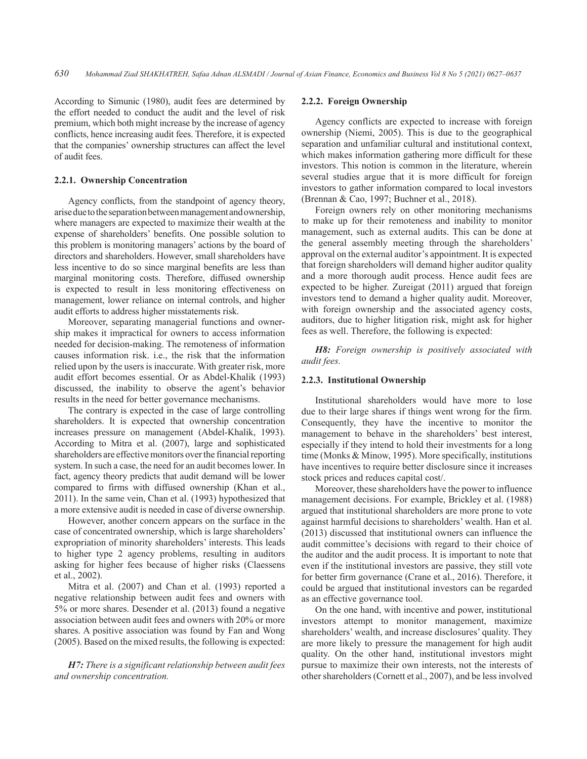According to Simunic (1980), audit fees are determined by the effort needed to conduct the audit and the level of risk premium, which both might increase by the increase of agency conflicts, hence increasing audit fees. Therefore, it is expected that the companies' ownership structures can affect the level of audit fees.

## **2.2.1. Ownership Concentration**

Agency conflicts, from the standpoint of agency theory, arise due to the separation between management and ownership, where managers are expected to maximize their wealth at the expense of shareholders' benefits. One possible solution to this problem is monitoring managers' actions by the board of directors and shareholders. However, small shareholders have less incentive to do so since marginal benefits are less than marginal monitoring costs. Therefore, diffused ownership is expected to result in less monitoring effectiveness on management, lower reliance on internal controls, and higher audit efforts to address higher misstatements risk.

Moreover, separating managerial functions and ownership makes it impractical for owners to access information needed for decision-making. The remoteness of information causes information risk. i.e., the risk that the information relied upon by the users is inaccurate. With greater risk, more audit effort becomes essential. Or as Abdel-Khalik (1993) discussed, the inability to observe the agent's behavior results in the need for better governance mechanisms.

The contrary is expected in the case of large controlling shareholders. It is expected that ownership concentration increases pressure on management (Abdel-Khalik, 1993). According to Mitra et al. (2007), large and sophisticated shareholders are effective monitors over the financial reporting system. In such a case, the need for an audit becomes lower. In fact, agency theory predicts that audit demand will be lower compared to firms with diffused ownership (Khan et al., 2011). In the same vein, Chan et al. (1993) hypothesized that a more extensive audit is needed in case of diverse ownership.

However, another concern appears on the surface in the case of concentrated ownership, which is large shareholders' expropriation of minority shareholders' interests. This leads to higher type 2 agency problems, resulting in auditors asking for higher fees because of higher risks (Claessens et al., 2002).

Mitra et al. (2007) and Chan et al. (1993) reported a negative relationship between audit fees and owners with 5% or more shares. Desender et al. (2013) found a negative association between audit fees and owners with 20% or more shares. A positive association was found by Fan and Wong (2005). Based on the mixed results, the following is expected:

*H7: There is a significant relationship between audit fees and ownership concentration.* 

#### **2.2.2. Foreign Ownership**

Agency conflicts are expected to increase with foreign ownership (Niemi, 2005). This is due to the geographical separation and unfamiliar cultural and institutional context, which makes information gathering more difficult for these investors. This notion is common in the literature, wherein several studies argue that it is more difficult for foreign investors to gather information compared to local investors (Brennan & Cao, 1997; Buchner et al., 2018).

Foreign owners rely on other monitoring mechanisms to make up for their remoteness and inability to monitor management, such as external audits. This can be done at the general assembly meeting through the shareholders' approval on the external auditor's appointment. It is expected that foreign shareholders will demand higher auditor quality and a more thorough audit process. Hence audit fees are expected to be higher. Zureigat (2011) argued that foreign investors tend to demand a higher quality audit. Moreover, with foreign ownership and the associated agency costs, auditors, due to higher litigation risk, might ask for higher fees as well. Therefore, the following is expected:

*H8: Foreign ownership is positively associated with audit fees.* 

#### **2.2.3. Institutional Ownership**

Institutional shareholders would have more to lose due to their large shares if things went wrong for the firm. Consequently, they have the incentive to monitor the management to behave in the shareholders' best interest, especially if they intend to hold their investments for a long time (Monks & Minow, 1995). More specifically, institutions have incentives to require better disclosure since it increases stock prices and reduces capital cost/.

Moreover, these shareholders have the power to influence management decisions. For example, Brickley et al. (1988) argued that institutional shareholders are more prone to vote against harmful decisions to shareholders' wealth. Han et al. (2013) discussed that institutional owners can influence the audit committee's decisions with regard to their choice of the auditor and the audit process. It is important to note that even if the institutional investors are passive, they still vote for better firm governance (Crane et al., 2016). Therefore, it could be argued that institutional investors can be regarded as an effective governance tool.

On the one hand, with incentive and power, institutional investors attempt to monitor management, maximize shareholders' wealth, and increase disclosures' quality. They are more likely to pressure the management for high audit quality. On the other hand, institutional investors might pursue to maximize their own interests, not the interests of other shareholders (Cornett et al., 2007), and be less involved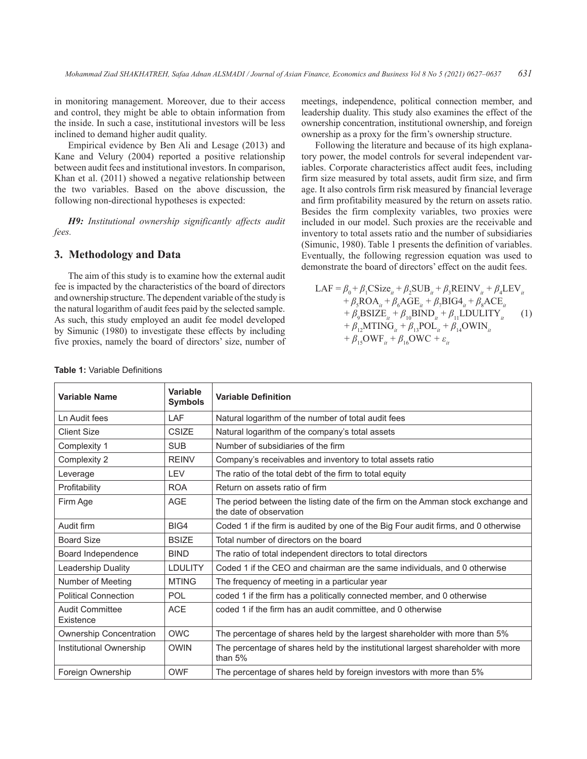in monitoring management. Moreover, due to their access and control, they might be able to obtain information from the inside. In such a case, institutional investors will be less inclined to demand higher audit quality.

Empirical evidence by Ben Ali and Lesage (2013) and Kane and Velury (2004) reported a positive relationship between audit fees and institutional investors. In comparison, Khan et al. (2011) showed a negative relationship between the two variables. Based on the above discussion, the following non-directional hypotheses is expected:

*H9: Institutional ownership significantly affects audit fees.* 

# **3. Methodology and Data**

The aim of this study is to examine how the external audit fee is impacted by the characteristics of the board of directors and ownership structure. The dependent variable of the study is the natural logarithm of audit fees paid by the selected sample. As such, this study employed an audit fee model developed by Simunic (1980) to investigate these effects by including five proxies, namely the board of directors' size, number of meetings, independence, political connection member, and leadership duality. This study also examines the effect of the ownership concentration, institutional ownership, and foreign ownership as a proxy for the firm's ownership structure.

Following the literature and because of its high explanatory power, the model controls for several independent variables. Corporate characteristics affect audit fees, including firm size measured by total assets, audit firm size, and firm age. It also controls firm risk measured by financial leverage and firm profitability measured by the return on assets ratio. Besides the firm complexity variables, two proxies were included in our model. Such proxies are the receivable and inventory to total assets ratio and the number of subsidiaries (Simunic, 1980). Table 1 presents the definition of variables. Eventually, the following regression equation was used to demonstrate the board of directors' effect on the audit fees.

$$
\begin{aligned}\n\text{LAF} &= \beta_0 + \beta_1 \text{CSize}_{it} + \beta_2 \text{SUB}_{it} + \beta_3 \text{REINV}_{it} + \beta_4 \text{LEV}_{it} \\
&\quad + \beta_5 \text{ROA}_{it} + \beta_6 \text{AGE}_{it} + \beta_7 \text{BIG4}_{it} + \beta_8 \text{ACE}_{it} \\
&\quad + \beta_9 \text{BSIZE}_{it} + \beta_{10} \text{BIND}_{it} + \beta_{11} \text{LDULITY}_{it} \\
&\quad + \beta_{12} \text{MTING}_{it} + \beta_{13} \text{POL}_{it} + \beta_{14} \text{OWIN}_{it} \\
&\quad + \beta_{15} \text{OWF}_{it} + \beta_{16} \text{OWC} + \varepsilon_{it}\n\end{aligned} \tag{1}
$$

| <b>Variable Name</b>                | Variable<br><b>Symbols</b> | <b>Variable Definition</b>                                                                                 |  |
|-------------------------------------|----------------------------|------------------------------------------------------------------------------------------------------------|--|
| Ln Audit fees                       | LAF                        | Natural logarithm of the number of total audit fees                                                        |  |
| <b>Client Size</b>                  | <b>CSIZE</b>               | Natural logarithm of the company's total assets                                                            |  |
| Complexity 1                        | <b>SUB</b>                 | Number of subsidiaries of the firm                                                                         |  |
| Complexity 2                        | <b>REINV</b>               | Company's receivables and inventory to total assets ratio                                                  |  |
| Leverage                            | <b>LEV</b>                 | The ratio of the total debt of the firm to total equity                                                    |  |
| Profitability                       | <b>ROA</b>                 | Return on assets ratio of firm                                                                             |  |
| Firm Age                            | <b>AGE</b>                 | The period between the listing date of the firm on the Amman stock exchange and<br>the date of observation |  |
| Audit firm                          | BIG4                       | Coded 1 if the firm is audited by one of the Big Four audit firms, and 0 otherwise                         |  |
| <b>Board Size</b>                   | <b>BSIZE</b>               | Total number of directors on the board                                                                     |  |
| Board Independence                  | <b>BIND</b>                | The ratio of total independent directors to total directors                                                |  |
| <b>Leadership Duality</b>           | <b>LDULITY</b>             | Coded 1 if the CEO and chairman are the same individuals, and 0 otherwise                                  |  |
| Number of Meeting                   | <b>MTING</b>               | The frequency of meeting in a particular year                                                              |  |
| <b>Political Connection</b>         | <b>POL</b>                 | coded 1 if the firm has a politically connected member, and 0 otherwise                                    |  |
| <b>Audit Committee</b><br>Existence | <b>ACE</b>                 | coded 1 if the firm has an audit committee, and 0 otherwise                                                |  |
| <b>Ownership Concentration</b>      | <b>OWC</b>                 | The percentage of shares held by the largest shareholder with more than 5%                                 |  |
| Institutional Ownership             | <b>OWIN</b>                | The percentage of shares held by the institutional largest shareholder with more<br>than $5%$              |  |
| Foreign Ownership                   | <b>OWF</b>                 | The percentage of shares held by foreign investors with more than 5%                                       |  |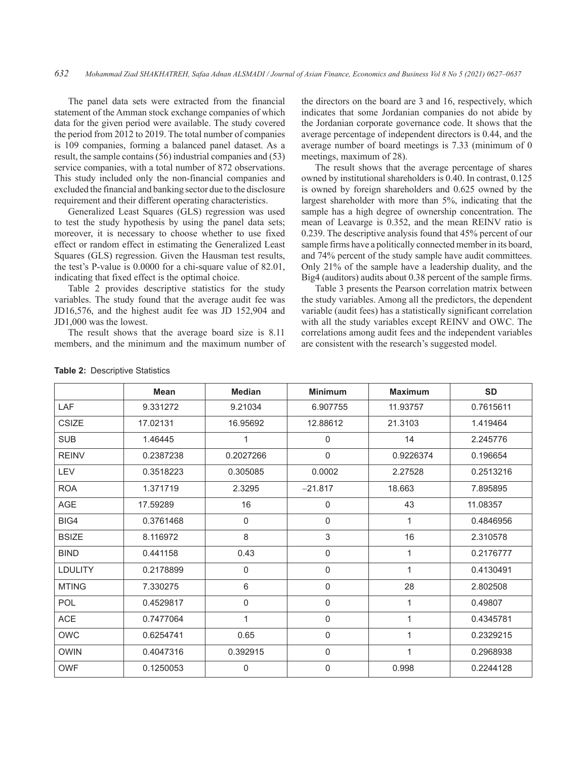The panel data sets were extracted from the financial statement of the Amman stock exchange companies of which data for the given period were available. The study covered the period from 2012 to 2019. The total number of companies is 109 companies, forming a balanced panel dataset. As a result, the sample contains (56) industrial companies and (53) service companies, with a total number of 872 observations. This study included only the non-financial companies and excluded the financial and banking sector due to the disclosure requirement and their different operating characteristics.

Generalized Least Squares (GLS) regression was used to test the study hypothesis by using the panel data sets; moreover, it is necessary to choose whether to use fixed effect or random effect in estimating the Generalized Least Squares (GLS) regression. Given the Hausman test results, the test's P-value is 0.0000 for a chi-square value of 82.01, indicating that fixed effect is the optimal choice.

Table 2 provides descriptive statistics for the study variables. The study found that the average audit fee was JD16,576, and the highest audit fee was JD 152,904 and JD1,000 was the lowest.

The result shows that the average board size is 8.11 members, and the minimum and the maximum number of the directors on the board are 3 and 16, respectively, which indicates that some Jordanian companies do not abide by the Jordanian corporate governance code. It shows that the average percentage of independent directors is 0.44, and the average number of board meetings is 7.33 (minimum of 0 meetings, maximum of 28).

The result shows that the average percentage of shares owned by institutional shareholders is 0.40. In contrast, 0.125 is owned by foreign shareholders and 0.625 owned by the largest shareholder with more than 5%, indicating that the sample has a high degree of ownership concentration. The mean of Leavarge is 0.352, and the mean REINV ratio is 0.239. The descriptive analysis found that 45% percent of our sample firms have a politically connected member in its board, and 74% percent of the study sample have audit committees. Only 21% of the sample have a leadership duality, and the Big4 (auditors) audits about 0.38 percent of the sample firms.

Table 3 presents the Pearson correlation matrix between the study variables. Among all the predictors, the dependent variable (audit fees) has a statistically significant correlation with all the study variables except REINV and OWC. The correlations among audit fees and the independent variables are consistent with the research's suggested model.

|                | <b>Mean</b> | <b>Median</b> | <b>Minimum</b> | <b>Maximum</b> | <b>SD</b> |
|----------------|-------------|---------------|----------------|----------------|-----------|
| LAF            | 9.331272    | 9.21034       | 6.907755       | 11.93757       | 0.7615611 |
| <b>CSIZE</b>   | 17.02131    | 16.95692      | 12.88612       | 21.3103        | 1.419464  |
| <b>SUB</b>     | 1.46445     |               | $\mathbf 0$    | 14             | 2.245776  |
| <b>REINV</b>   | 0.2387238   | 0.2027266     | $\mathbf{0}$   | 0.9226374      | 0.196654  |
| LEV            | 0.3518223   | 0.305085      | 0.0002         | 2.27528        | 0.2513216 |
| <b>ROA</b>     | 1.371719    | 2.3295        | $-21.817$      | 18.663         | 7.895895  |
| <b>AGE</b>     | 17.59289    | 16            | $\mathbf 0$    | 43             | 11.08357  |
| BIG4           | 0.3761468   | $\mathbf 0$   | $\mathbf 0$    | 1              | 0.4846956 |
| <b>BSIZE</b>   | 8.116972    | 8             | 3              | 16             | 2.310578  |
| <b>BIND</b>    | 0.441158    | 0.43          | $\mathbf 0$    | 1              | 0.2176777 |
| <b>LDULITY</b> | 0.2178899   | $\mathbf 0$   | $\Omega$       | 1              | 0.4130491 |
| <b>MTING</b>   | 7.330275    | 6             | $\mathbf 0$    | 28             | 2.802508  |
| POL            | 0.4529817   | $\mathbf 0$   | $\mathbf 0$    | 1              | 0.49807   |
| <b>ACE</b>     | 0.7477064   | $\mathbf{1}$  | $\mathbf 0$    | 1              | 0.4345781 |
| OWC            | 0.6254741   | 0.65          | $\mathbf{0}$   | $\mathbf{1}$   | 0.2329215 |
| <b>OWIN</b>    | 0.4047316   | 0.392915      | $\mathbf 0$    | 1              | 0.2968938 |
| <b>OWF</b>     | 0.1250053   | $\Omega$      | $\mathbf 0$    | 0.998          | 0.2244128 |

#### **Table 2:** Descriptive Statistics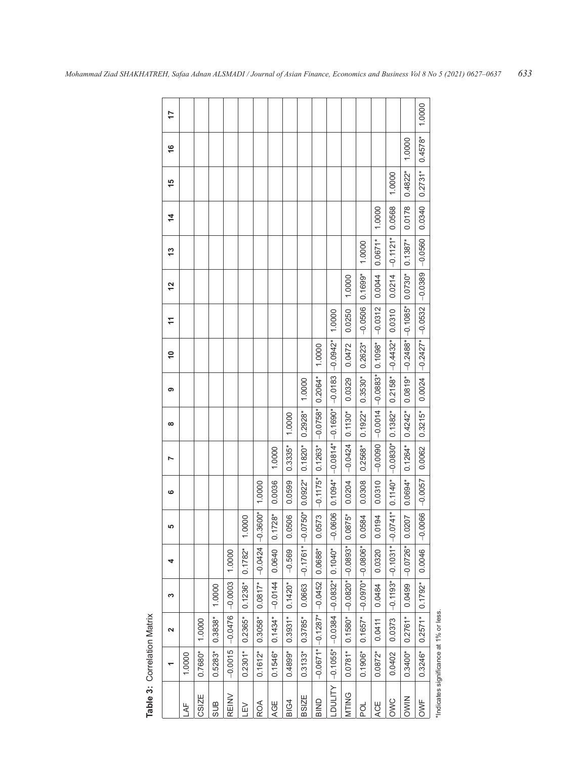| Table 3: Correlation Matrix            |            |                               |                                  |            |                                  |            |                     |            |                              |                       |           |           |            |               |           |               |        |
|----------------------------------------|------------|-------------------------------|----------------------------------|------------|----------------------------------|------------|---------------------|------------|------------------------------|-----------------------|-----------|-----------|------------|---------------|-----------|---------------|--------|
|                                        |            | $\mathbf{\Omega}$             | ω                                | 4          | မာ                               | ဖ          | N                   | $\infty$   | თ                            | $\tilde{=}$           | H         | 12        | 13         | $\frac{4}{3}$ | 15        | $\frac{6}{1}$ | 17     |
| łŽ                                     | 1.0000     |                               |                                  |            |                                  |            |                     |            |                              |                       |           |           |            |               |           |               |        |
| CSIZE                                  | $0.7680*$  | 1.0000                        |                                  |            |                                  |            |                     |            |                              |                       |           |           |            |               |           |               |        |
| <b>SUB</b>                             | $0.5283*$  | $0.3838*$                     | 1.0000                           |            |                                  |            |                     |            |                              |                       |           |           |            |               |           |               |        |
| <b>REINV</b>                           | $-0.0015$  | $-0.0476$                     | $-0.0003$                        | 1.0000     |                                  |            |                     |            |                              |                       |           |           |            |               |           |               |        |
| ΠEΛ                                    | $0.2301*$  | $0.2365*$                     | $0.1236*$                        | $0.1782*$  | .0000                            |            |                     |            |                              |                       |           |           |            |               |           |               |        |
| ROA                                    | $0.1612*$  | 0.3058*                       | $0.0817*$                        | $-0.0424$  | $.3600*$<br>$\frac{1}{\sqrt{2}}$ | 1.0000     |                     |            |                              |                       |           |           |            |               |           |               |        |
| AGE                                    | $0.1546*$  | $0.1434*$                     | $-0.0144$                        | 0.0640     | $0.1728*$                        | 0.0036     | 1.0000              |            |                              |                       |           |           |            |               |           |               |        |
| BIG4                                   | $0.4899*$  | $0.3931*$                     | $0.1420*$                        | $-0.569$   | .0506<br>$\circ$                 | 0.0599     | $0.3335*$           | 1.0000     |                              |                       |           |           |            |               |           |               |        |
| <b>BSIZE</b>                           | $0.3133*$  | $0.3785*$                     | 0.0663                           | $-0.1761*$ | $.0750*$<br>$\frac{1}{1}$        | $0.0922*$  | $0.1820*$           | $0.2928*$  | 1.0000                       |                       |           |           |            |               |           |               |        |
| BIND                                   |            | $-0.0671$ $-0.1287$ $-0.0452$ |                                  | $0.0688*$  | .0573<br>$\circ$                 | $-0.1175*$ | $0.1263*$           | $-0.0758*$ | $0.2064*$                    | 1.0000                |           |           |            |               |           |               |        |
| LDULITY                                | $-0.1055*$ |                               | $-0.0384$ $-0.0832*$             | $0.1040*$  | $-0.0606$                        | $0.1094*$  | $-0.0814* -0.1690*$ |            | $-0.0183$                    | $-0.0942$ *           | 1.0000    |           |            |               |           |               |        |
| <b>MTING</b>                           | $0.0781*$  | $0.1580*$                     | $-0.0820*$                       | $-0.0893*$ | $.0875*$<br>ö                    | 0.0204     | $-0.0424$           | $0.1130*$  | 0.0329                       | 0.0472                | 0.0250    | 1.0000    |            |               |           |               |        |
| pol                                    | $0.1906*$  | $0.1657*$                     | $-0.0970*$                       | $-0.0806*$ | .0584<br>$\circ$                 | 0.0308     | $0.2568*$           | $0.1922*$  | $0.3530*$                    | $0.2623*$             | $-0.0506$ | $0.1699*$ | 1.0000     |               |           |               |        |
| ACE                                    | $0.0872*$  | 0.0411                        | 0.0484                           | 0.0320     | 0194<br>$\circ$                  | 0.0310     | $-0.0090$           |            | $-0.0014$ $-0.0883*$ 0.1098* |                       | $-0.0312$ | 0.0044    | $0.0671*$  | 1.0000        |           |               |        |
| OWC                                    | 0.0402     | 0.0373                        | $\left -0.1193* \right -0.1031*$ |            | $-0741*$                         |            | $0.1140*$ -0.0830*  | $0.1382*$  | $0.2158*$                    | $-0.4432*$            | 0.0310    | 0.0214    | $-0.1121*$ | 0.0568        | 1.0000    |               |        |
| <b>DWIN</b>                            | $0.3400*$  | $0.2761*$                     | 0.0499                           | $-0.0726*$ | .0207<br>$\circ$                 | $0.0694*$  | $0.1264*$           | $0.4242*$  | $0.0819*$                    | $-0.2488*$ $-0.1085*$ |           | $0.0730*$ | $0.1387*$  | 0.0178        | $0.4822*$ | 1.0000        |        |
| OWF                                    | $0.3246*$  | $0.2571*$                     | $0.1792*$                        | 0.0046     | $-0.0066$                        | $-0.0057$  | 0.0062              | $0.3215*$  | 0.0024                       | $-0.2427*$ $-0.0532$  |           | $-0.0389$ | $-0.0560$  | 0.0340        | $0.2731*$ | $0.4578*$     | 1.0000 |
| *Indicates significance at 1% or less. |            |                               |                                  |            |                                  |            |                     |            |                              |                       |           |           |            |               |           |               |        |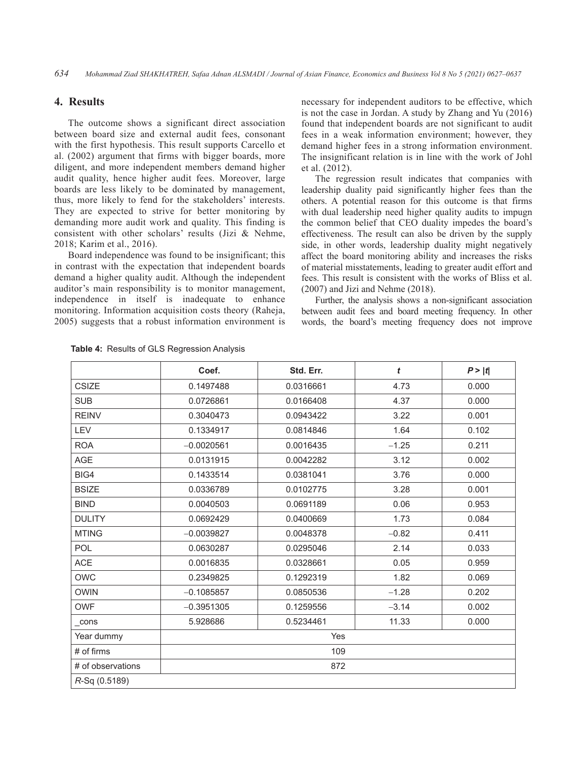# **4. Results**

The outcome shows a significant direct association between board size and external audit fees, consonant with the first hypothesis. This result supports Carcello et al. (2002) argument that firms with bigger boards, more diligent, and more independent members demand higher audit quality, hence higher audit fees. Moreover, large boards are less likely to be dominated by management, thus, more likely to fend for the stakeholders' interests. They are expected to strive for better monitoring by demanding more audit work and quality. This finding is consistent with other scholars' results (Jizi & Nehme, 2018; Karim et al., 2016).

Board independence was found to be insignificant; this in contrast with the expectation that independent boards demand a higher quality audit. Although the independent auditor's main responsibility is to monitor management, independence in itself is inadequate to enhance monitoring. Information acquisition costs theory (Raheja, 2005) suggests that a robust information environment is

necessary for independent auditors to be effective, which is not the case in Jordan. A study by Zhang and Yu (2016) found that independent boards are not significant to audit fees in a weak information environment; however, they demand higher fees in a strong information environment. The insignificant relation is in line with the work of Johl et al. (2012).

The regression result indicates that companies with leadership duality paid significantly higher fees than the others. A potential reason for this outcome is that firms with dual leadership need higher quality audits to impugn the common belief that CEO duality impedes the board's effectiveness. The result can also be driven by the supply side, in other words, leadership duality might negatively affect the board monitoring ability and increases the risks of material misstatements, leading to greater audit effort and fees. This result is consistent with the works of Bliss et al. (2007) and Jizi and Nehme (2018).

Further, the analysis shows a non-significant association between audit fees and board meeting frequency. In other words, the board's meeting frequency does not improve

|                   | Coef.        | Std. Err. | t       | P >  t |  |  |
|-------------------|--------------|-----------|---------|--------|--|--|
| <b>CSIZE</b>      | 0.1497488    | 0.0316661 | 4.73    | 0.000  |  |  |
| <b>SUB</b>        | 0.0726861    | 0.0166408 | 4.37    | 0.000  |  |  |
| <b>REINV</b>      | 0.3040473    | 0.0943422 | 3.22    | 0.001  |  |  |
| LEV               | 0.1334917    | 0.0814846 | 1.64    | 0.102  |  |  |
| <b>ROA</b>        | $-0.0020561$ | 0.0016435 | $-1.25$ | 0.211  |  |  |
| <b>AGE</b>        | 0.0131915    | 0.0042282 | 3.12    | 0.002  |  |  |
| BIG4              | 0.1433514    | 0.0381041 | 3.76    | 0.000  |  |  |
| <b>BSIZE</b>      | 0.0336789    | 0.0102775 | 3.28    | 0.001  |  |  |
| <b>BIND</b>       | 0.0040503    | 0.0691189 | 0.06    | 0.953  |  |  |
| <b>DULITY</b>     | 0.0692429    | 0.0400669 | 1.73    | 0.084  |  |  |
| <b>MTING</b>      | $-0.0039827$ | 0.0048378 | $-0.82$ | 0.411  |  |  |
| POL               | 0.0630287    | 0.0295046 | 2.14    | 0.033  |  |  |
| <b>ACE</b>        | 0.0016835    | 0.0328661 | 0.05    | 0.959  |  |  |
| <b>OWC</b>        | 0.2349825    | 0.1292319 | 1.82    | 0.069  |  |  |
| <b>OWIN</b>       | $-0.1085857$ | 0.0850536 | $-1.28$ | 0.202  |  |  |
| <b>OWF</b>        | $-0.3951305$ | 0.1259556 | $-3.14$ | 0.002  |  |  |
| cons              | 5.928686     | 0.5234461 | 11.33   | 0.000  |  |  |
| Year dummy        | Yes          |           |         |        |  |  |
| $#$ of firms      | 109          |           |         |        |  |  |
| # of observations |              | 872       |         |        |  |  |
| R-Sq (0.5189)     |              |           |         |        |  |  |

**Table 4:** Results of GLS Regression Analysis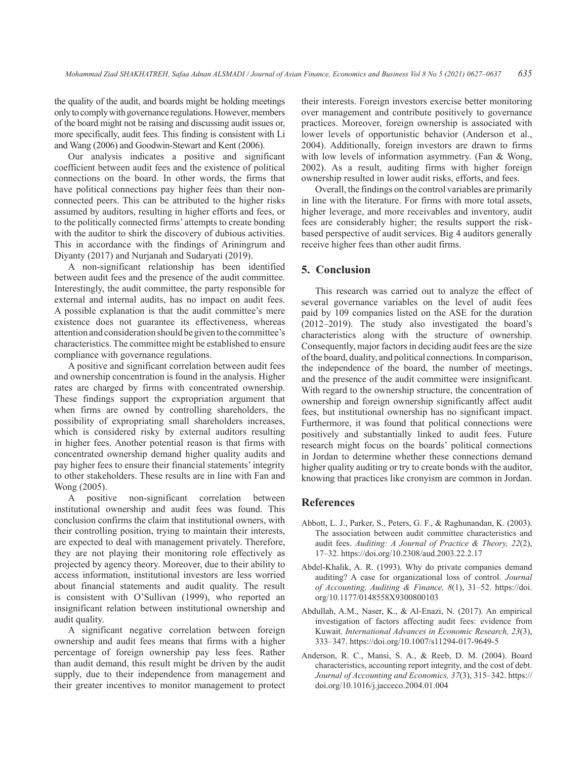the quality of the audit, and boards might be holding meetings only to comply with governance regulations. However, members of the board might not be raising and discussing audit issues or, more specifically, audit fees. This finding is consistent with Li and Wang (2006) and Goodwin-Stewart and Kent (2006).

Our analysis indicates a positive and significant coefficient between audit fees and the existence of political connections on the board. In other words, the firms that have political connections pay higher fees than their nonconnected peers. This can be attributed to the higher risks assumed by auditors, resulting in higher efforts and fees, or to the politically connected firms' attempts to create bonding with the auditor to shirk the discovery of dubious activities. This in accordance with the findings of Ariningrum and Diyanty (2017) and Nurjanah and Sudaryati (2019).

A non-significant relationship has been identified between audit fees and the presence of the audit committee. Interestingly, the audit committee, the party responsible for external and internal audits, has no impact on audit fees. A possible explanation is that the audit committee's mere existence does not guarantee its effectiveness, whereas attention and consideration should be given to the committee's characteristics. The committee might be established to ensure compliance with governance regulations.

A positive and significant correlation between audit fees and ownership concentration is found in the analysis. Higher rates are charged by firms with concentrated ownership. These findings support the expropriation argument that when firms are owned by controlling shareholders, the possibility of expropriating small shareholders increases, which is considered risky by external auditors resulting in higher fees. Another potential reason is that firms with concentrated ownership demand higher quality audits and pay higher fees to ensure their financial statements' integrity to other stakeholders. These results are in line with Fan and Wong (2005).

A positive non-significant correlation between institutional ownership and audit fees was found. This conclusion confirms the claim that institutional owners, with their controlling position, trying to maintain their interests, are expected to deal with management privately. Therefore, they are not playing their monitoring role effectively as projected by agency theory. Moreover, due to their ability to access information, institutional investors are less worried about financial statements and audit quality. The result is consistent with O'Sullivan (1999), who reported an insignificant relation between institutional ownership and audit quality.

A significant negative correlation between foreign ownership and audit fees means that firms with a higher percentage of foreign ownership pay less fees. Rather than audit demand, this result might be driven by the audit supply, due to their independence from management and their greater incentives to monitor management to protect their interests. Foreign investors exercise better monitoring over management and contribute positively to governance practices. Moreover, foreign ownership is associated with lower levels of opportunistic behavior (Anderson et al., 2004). Additionally, foreign investors are drawn to firms with low levels of information asymmetry. (Fan & Wong, 2002). As a result, auditing firms with higher foreign ownership resulted in lower audit risks, efforts, and fees.

Overall, the findings on the control variables are primarily in line with the literature. For firms with more total assets, higher leverage, and more receivables and inventory, audit fees are considerably higher; the results support the riskbased perspective of audit services. Big 4 auditors generally receive higher fees than other audit firms.

# **5. Conclusion**

This research was carried out to analyze the effect of several governance variables on the level of audit fees paid by 109 companies listed on the ASE for the duration (2012–2019). The study also investigated the board's characteristics along with the structure of ownership. Consequently, major factors in deciding audit fees are the size of the board, duality, and political connections. In comparison, the independence of the board, the number of meetings, and the presence of the audit committee were insignificant. With regard to the ownership structure, the concentration of ownership and foreign ownership significantly affect audit fees, but institutional ownership has no significant impact. Furthermore, it was found that political connections were positively and substantially linked to audit fees. Future research might focus on the boards' political connections in Jordan to determine whether these connections demand higher quality auditing or try to create bonds with the auditor, knowing that practices like cronyism are common in Jordan.

## **References**

- Abbott, L. J., Parker, S., Peters, G. F., & Raghunandan, K. (2003). The association between audit committee characteristics and audit fees. *Auditing: A Journal of Practice & Theory, 22*(2), 17–32. https://doi.org/10.2308/aud.2003.22.2.17
- Abdel-Khalik, A. R. (1993). Why do private companies demand auditing? A case for organizational loss of control. *Journal of Accounting, Auditing & Finance, 8*(1), 31–52. https://doi. org/10.1177/0148558X9300800103
- Abdullah, A.M., Naser, K., & Al-Enazi, N. (2017). An empirical investigation of factors affecting audit fees: evidence from Kuwait. *International Advances in Economic Research, 23*(3), 333–347. https://doi.org/10.1007/s11294-017-9649-5
- Anderson, R. C., Mansi, S. A., & Reeb, D. M. (2004). Board characteristics, accounting report integrity, and the cost of debt. *Journal of Accounting and Economics, 37*(3), 315–342. https:// doi.org/10.1016/j.jacceco.2004.01.004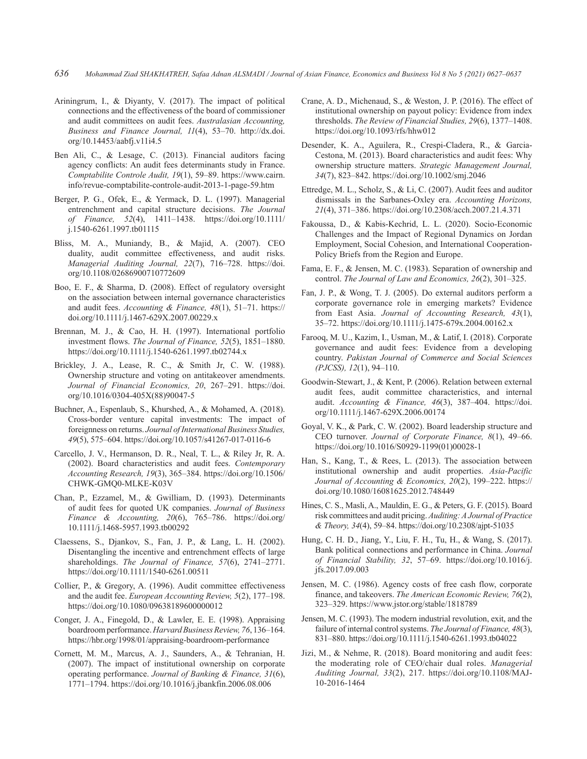- Ariningrum, I., & Diyanty, V. (2017). The impact of political connections and the effectiveness of the board of commissioner and audit committees on audit fees. *Australasian Accounting, Business and Finance Journal, 11*(4), 53–70. http://dx.doi. org/10.14453/aabfj.v11i4.5
- Ben Ali, C., & Lesage, C. (2013). Financial auditors facing agency conflicts: An audit fees determinants study in France. *Comptabilite Controle Audit, 19*(1), 59–89. https://www.cairn. info/revue-comptabilite-controle-audit-2013-1-page-59.htm
- Berger, P. G., Ofek, E., & Yermack, D. L. (1997). Managerial entrenchment and capital structure decisions. *The Journal of Finance, 52*(4), 1411–1438. https://doi.org/10.1111/ j.1540-6261.1997.tb01115
- Bliss, M. A., Muniandy, B., & Majid, A. (2007). CEO duality, audit committee effectiveness, and audit risks. *Managerial Auditing Journal, 22*(7), 716–728. https://doi. org/10.1108/02686900710772609
- Boo, E. F., & Sharma, D. (2008). Effect of regulatory oversight on the association between internal governance characteristics and audit fees. *Accounting & Finance, 48*(1), 51–71. https:// doi.org/10.1111/j.1467-629X.2007.00229.x
- Brennan, M. J., & Cao, H. H. (1997). International portfolio investment flows. *The Journal of Finance, 52*(5), 1851–1880. https://doi.org/10.1111/j.1540-6261.1997.tb02744.x
- Brickley, J. A., Lease, R. C., & Smith Jr, C. W. (1988). Ownership structure and voting on antitakeover amendments. *Journal of Financial Economics, 20*, 267–291. https://doi. org/10.1016/0304-405X(88)90047-5
- Buchner, A., Espenlaub, S., Khurshed, A., & Mohamed, A. (2018). Cross-border venture capital investments: The impact of foreignness on returns. *Journal of International Business Studies, 49*(5), 575–604. https://doi.org/10.1057/s41267-017-0116-6
- Carcello, J. V., Hermanson, D. R., Neal, T. L., & Riley Jr, R. A. (2002). Board characteristics and audit fees. *Contemporary Accounting Research, 19*(3), 365–384. https://doi.org/10.1506/ CHWK-GMQ0-MLKE-K03V
- Chan, P., Ezzamel, M., & Gwilliam, D. (1993). Determinants of audit fees for quoted UK companies. *Journal of Business Finance & Accounting, 20*(6), 765–786. https://doi.org/ 10.1111/j.1468-5957.1993.tb00292
- Claessens, S., Djankov, S., Fan, J. P., & Lang, L. H. (2002). Disentangling the incentive and entrenchment effects of large shareholdings. *The Journal of Finance, 57*(6), 2741–2771. https://doi.org/10.1111/1540-6261.00511
- Collier, P., & Gregory, A. (1996). Audit committee effectiveness and the audit fee. *European Accounting Review, 5*(2), 177–198. https://doi.org/10.1080/09638189600000012
- Conger, J. A., Finegold, D., & Lawler, E. E. (1998). Appraising boardroom performance. *Harvard Business Review, 76*, 136–164. https://hbr.org/1998/01/appraising-boardroom-performance
- Cornett, M. M., Marcus, A. J., Saunders, A., & Tehranian, H. (2007). The impact of institutional ownership on corporate operating performance. *Journal of Banking & Finance, 31*(6), 1771–1794. https://doi.org/10.1016/j.jbankfin.2006.08.006
- Crane, A. D., Michenaud, S., & Weston, J. P. (2016). The effect of institutional ownership on payout policy: Evidence from index thresholds. *The Review of Financial Studies, 29*(6), 1377–1408. https://doi.org/10.1093/rfs/hhw012
- Desender, K. A., Aguilera, R., Crespi-Cladera, R., & Garcia-Cestona, M. (2013). Board characteristics and audit fees: Why ownership structure matters. *Strategic Management Journal, 34*(7), 823–842. https://doi.org/10.1002/smj.2046
- Ettredge, M. L., Scholz, S., & Li, C. (2007). Audit fees and auditor dismissals in the Sarbanes-Oxley era. *Accounting Horizons, 21*(4), 371–386. https://doi.org/10.2308/acch.2007.21.4.371
- Fakoussa, D., & Kabis-Kechrid, L. L. (2020). Socio-Economic Challenges and the Impact of Regional Dynamics on Jordan Employment, Social Cohesion, and International Cooperation-Policy Briefs from the Region and Europe.
- Fama, E. F., & Jensen, M. C. (1983). Separation of ownership and control. *The Journal of Law and Economics, 26*(2), 301–325.
- Fan, J. P., & Wong, T. J. (2005). Do external auditors perform a corporate governance role in emerging markets? Evidence from East Asia. *Journal of Accounting Research, 43*(1), 35–72. https://doi.org/10.1111/j.1475-679x.2004.00162.x
- Farooq, M. U., Kazim, I., Usman, M., & Latif, I. (2018). Corporate governance and audit fees: Evidence from a developing country. *Pakistan Journal of Commerce and Social Sciences (PJCSS), 12*(1), 94–110.
- Goodwin-Stewart, J., & Kent, P. (2006). Relation between external audit fees, audit committee characteristics, and internal audit. *Accounting & Finance, 46*(3), 387–404. https://doi. org/10.1111/j.1467-629X.2006.00174
- Goyal, V. K., & Park, C. W. (2002). Board leadership structure and CEO turnover. *Journal of Corporate Finance, 8*(1), 49–66. https://doi.org/10.1016/S0929-1199(01)00028-1
- Han, S., Kang, T., & Rees, L. (2013). The association between institutional ownership and audit properties. *Asia-Pacific Journal of Accounting & Economics, 20*(2), 199–222. https:// doi.org/10.1080/16081625.2012.748449
- Hines, C. S., Masli, A., Mauldin, E. G., & Peters, G. F. (2015). Board risk committees and audit pricing. *Auditing: A Journal of Practice & Theory, 34*(4), 59–84. https://doi.org/10.2308/ajpt-51035
- Hung, C. H. D., Jiang, Y., Liu, F. H., Tu, H., & Wang, S. (2017). Bank political connections and performance in China. *Journal of Financial Stability, 32*, 57–69. https://doi.org/10.1016/j. jfs.2017.09.003
- Jensen, M. C. (1986). Agency costs of free cash flow, corporate finance, and takeovers. *The American Economic Review, 76*(2), 323–329. https://www.jstor.org/stable/1818789
- Jensen, M. C. (1993). The modern industrial revolution, exit, and the failure of internal control systems. *The Journal of Finance, 48*(3), 831–880. https://doi.org/10.1111/j.1540-6261.1993.tb04022
- Jizi, M., & Nehme, R. (2018). Board monitoring and audit fees: the moderating role of CEO/chair dual roles. *Managerial Auditing Journal, 33*(2), 217. https://doi.org/10.1108/MAJ-10-2016-1464